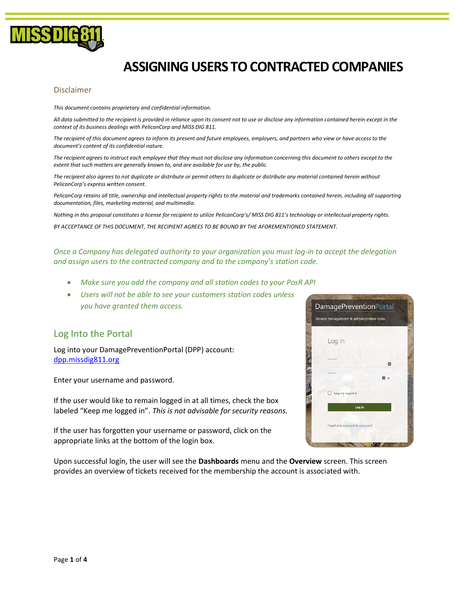

# ASSIGNING USERS TO CONTRACTED COMPANIES

#### Disclaimer

This document contains proprietary and confidential information.

All data submitted to the recipient is provided in reliance upon its consent not to use or disclose any information contained herein except in the context of its business dealings with PelicanCorp and MISS DIG 811.

The recipient of this document agrees to inform its present and future employees, employers, and partners who view or have access to the document's content of its confidential nature.

The recipient agrees to instruct each employee that they must not disclose any information concerning this document to others except to the extent that such matters are generally known to, and are available for use by, the public.

The recipient also agrees to not duplicate or distribute or permit others to duplicate or distribute any material contained herein without PelicanCorp's express written consent.

PelicanCorp retains all title, ownership and intellectual property rights to the material and trademarks contained herein, including all supporting documentation, files, marketing material, and multimedia.

Nothing in this proposal constitutes a license for recipient to utilize PelicanCorp's/ MISS DIG 811's technology or intellectual property rights.

BY ACCEPTANCE OF THIS DOCUMENT, THE RECIPIENT AGREES TO BE BOUND BY THE AFOREMENTIONED STATEMENT.

Once a Company has delegated authority to your organization you must log-in to accept the delegation and assign users to the contracted company and to the company's station code.

- Make sure you add the company and all station codes to your PosR API
- Users will not be able to see your customers station codes unless you have granted them access.

#### Log Into the Portal

Log into your DamagePreventionPortal (DPP) account: dpp.missdig811.org

Enter your username and password.

If the user would like to remain logged in at all times, check the box labeled "Keep me logged in". This is not advisable for security reasons.

If the user has forgotten your username or password, click on the appropriate links at the bottom of the login box.

Upon successful login, the user will see the Dashboards menu and the Overview screen. This screen provides an overview of tickets received for the membership the account is associated with.

| Service management & administrative tools |  |  |
|-------------------------------------------|--|--|
|                                           |  |  |
|                                           |  |  |
| Log in                                    |  |  |
|                                           |  |  |
| <b>Useruma</b>                            |  |  |
| <b>PALLAULES</b>                          |  |  |
|                                           |  |  |
| Keep me logged in                         |  |  |
|                                           |  |  |
| Log in                                    |  |  |
|                                           |  |  |
| Forgot your password or usemame?          |  |  |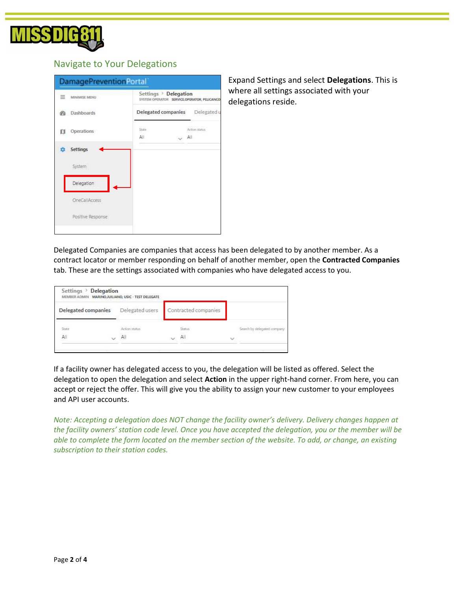

#### Navigate to Your Delegations

| ≕<br>MINIMISE MENU   |              | Settings > Delegation<br>SYSTEM OPERATOR SERVICE.OPERATOR, PELICANCO |  |  |  |
|----------------------|--------------|----------------------------------------------------------------------|--|--|--|
| <b>Dashboards</b>    |              | Delegated companies Delegated u                                      |  |  |  |
| Operations<br>п      | State<br>All | Action status<br>All                                                 |  |  |  |
| <b>Settings</b><br>n |              |                                                                      |  |  |  |
| System               |              |                                                                      |  |  |  |
| Delegation           |              |                                                                      |  |  |  |
| <b>OneCallAccess</b> |              |                                                                      |  |  |  |
| Positive Response    |              |                                                                      |  |  |  |

Expand Settings and select Delegations. This is where all settings associated with your delegations reside.

Delegated Companies are companies that access has been delegated to by another member. As a contract locator or member responding on behalf of another member, open the Contracted Companies tab. These are the settings associated with companies who have delegated access to you.

|                     | Settings > Delegation | MEMBER ADMIN MARINOJUILIANO, USIC - TEST DELEGATE |                      |              |                             |
|---------------------|-----------------------|---------------------------------------------------|----------------------|--------------|-----------------------------|
| Delegated companies |                       | Delegated users                                   | Contracted companies |              |                             |
| Gutz                |                       | Action status                                     | Status               |              | Search by delegated company |
| Äİİ                 | $\checkmark$          | All                                               | All                  | $\checkmark$ |                             |
|                     |                       |                                                   |                      |              |                             |

If a facility owner has delegated access to you, the delegation will be listed as offered. Select the delegation to open the delegation and select Action in the upper right-hand corner. From here, you can accept or reject the offer. This will give you the ability to assign your new customer to your employees and API user accounts.

Note: Accepting a delegation does NOT change the facility owner's delivery. Delivery changes happen at the facility owners' station code level. Once you have accepted the delegation, you or the member will be able to complete the form located on the member section of the website. To add, or change, an existing subscription to their station codes.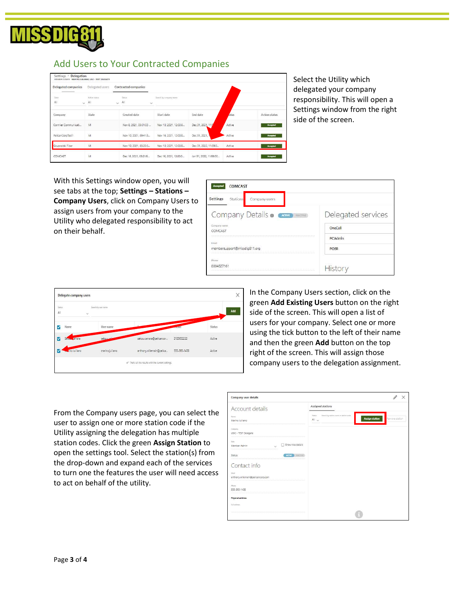

### Add Users to Your Contracted Companies

| Delegated companies | Delegated users             | Contracted companies                         |                        |                        |        |                      |
|---------------------|-----------------------------|----------------------------------------------|------------------------|------------------------|--------|----------------------|
| <b>State</b><br>All | Action status<br>$\vee$ All | Status.<br>$\vee$ All<br>$\ddot{\mathbf{v}}$ | Search by company name |                        |        |                      |
| Company             | State                       | Created date                                 | Start date             | End date               | atus   | <b>Action status</b> |
| Cormier Communicati | M                           | Nov 8, 2021, 03:01:03                        | Nov 10, 2021, 12:00:0  | Dec 31, 2021, 11:5     | Active | Accepted             |
| PelicanCorpTest1    | M                           | Nov 10, 2021, 09:41:3                        | Nov 16, 2021, 12:00:0  | Dec 31, 2021.          | Active | Accepted             |
| Gruzwalski Fiber    | M                           | Nov 10, 2021, 03:20:5                        | Nov 10, 2021, 12:00:0  | Dec 31, 2022, 11:59:0  | Active | Accepted             |
| COMCAST             | yor.<br>M                   | Dec 16, 2021, 03:21:5                        | Dec 16, 2021, 12:00:0  | Jan 31, 2022, 11:59:00 | Active | Accepted             |

Select the Utility which delegated your company responsibility. This will open a Settings window from the right side of the screen.

With this Settings window open, you will see tabs at the top; Settings – Stations – Company Users, click on Company Users to assign users from your company to the Utility who delegated responsibility to act on their behalf.

| <b>COMCAST</b><br><b>Accepte</b>              |                    |
|-----------------------------------------------|--------------------|
| Settings<br>Stations<br>Company users         |                    |
| Company Details • CACTIVE<br><b>INAUCTIVE</b> | Delegated services |
| Company nome<br>COMCAST                       | OneCall            |
| Email                                         | <b>PCAdmin</b>     |
| membersupport@missdig811.org                  | <b>POSR</b>        |
| Phone                                         |                    |
| 8004827161                                    | History            |



In the Company Users section, click on the green Add Existing Users button on the right side of the screen. This will open a list of users for your company. Select one or more using the tick button to the left of their name and then the green Add button on the top right of the screen. This will assign those company users to the delegation assignment.

From the Company users page, you can select the user to assign one or more station code if the Utility assigning the delegation has multiple station codes. Click the green Assign Station to open the settings tool. Select the station(s) from the drop-down and expand each of the services to turn one the features the user will need access to act on behalf of the utility.

| <b>Company user details</b>                |                                                                                                           |
|--------------------------------------------|-----------------------------------------------------------------------------------------------------------|
| Account details                            | Assigned stations                                                                                         |
| Nome:<br>Marino Julijano                   | Status<br>Search by station rume or station code<br><b>Assign station</b><br>Remove station<br>All $\vee$ |
| Company<br>USIC - TEST Delegate            |                                                                                                           |
| Role:<br>Show role details<br>Member Admin |                                                                                                           |
| ACTIVE IN HANDLINE<br>Status               |                                                                                                           |
| Contact info                               |                                                                                                           |
| Fresh<br>anthony.willemain@pelicancorp.com |                                                                                                           |
| Picess.<br>555-393-1438                    |                                                                                                           |
| <b>Physical address</b>                    |                                                                                                           |
| Full address                               |                                                                                                           |
|                                            |                                                                                                           |